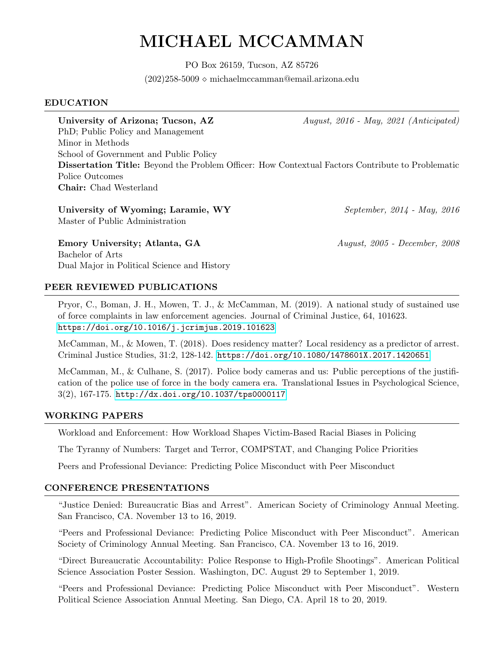# MICHAEL MCCAMMAN

PO Box 26159, Tucson, AZ 85726  $(202)258-5009 \diamond$  michaelmccamman@email.arizona.edu

## EDUCATION

University of Arizona; Tucson, AZ  $August, 2016$  - May, 2021 (Anticipated)

PhD; Public Policy and Management Minor in Methods School of Government and Public Policy Dissertation Title: Beyond the Problem Officer: How Contextual Factors Contribute to Problematic Police Outcomes Chair: Chad Westerland

University of Wyoming; Laramie, WY September, 2014 - May, 2016 Master of Public Administration

Emory University; Atlanta, GA August, 2005 - December, 2008 Bachelor of Arts Dual Major in Political Science and History

# PEER REVIEWED PUBLICATIONS

Pryor, C., Boman, J. H., Mowen, T. J., & McCamman, M. (2019). A national study of sustained use of force complaints in law enforcement agencies. Journal of Criminal Justice, 64, 101623. <https://doi.org/10.1016/j.jcrimjus.2019.101623>

McCamman, M., & Mowen, T. (2018). Does residency matter? Local residency as a predictor of arrest. Criminal Justice Studies, 31:2, 128-142. <https://doi.org/10.1080/1478601X.2017.1420651>

McCamman, M., & Culhane, S. (2017). Police body cameras and us: Public perceptions of the justification of the police use of force in the body camera era. Translational Issues in Psychological Science, 3(2), 167-175. <http://dx.doi.org/10.1037/tps0000117>

## WORKING PAPERS

Workload and Enforcement: How Workload Shapes Victim-Based Racial Biases in Policing

The Tyranny of Numbers: Target and Terror, COMPSTAT, and Changing Police Priorities

Peers and Professional Deviance: Predicting Police Misconduct with Peer Misconduct

## CONFERENCE PRESENTATIONS

"Justice Denied: Bureaucratic Bias and Arrest". American Society of Criminology Annual Meeting. San Francisco, CA. November 13 to 16, 2019.

"Peers and Professional Deviance: Predicting Police Misconduct with Peer Misconduct". American Society of Criminology Annual Meeting. San Francisco, CA. November 13 to 16, 2019.

"Direct Bureaucratic Accountability: Police Response to High-Profile Shootings". American Political Science Association Poster Session. Washington, DC. August 29 to September 1, 2019.

"Peers and Professional Deviance: Predicting Police Misconduct with Peer Misconduct". Western Political Science Association Annual Meeting. San Diego, CA. April 18 to 20, 2019.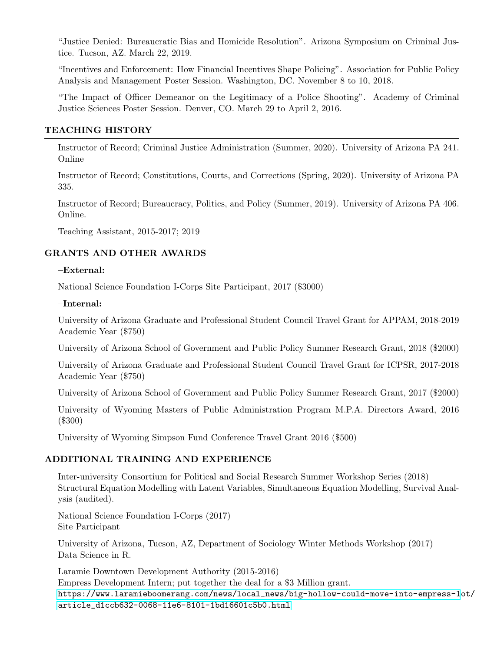"Justice Denied: Bureaucratic Bias and Homicide Resolution". Arizona Symposium on Criminal Justice. Tucson, AZ. March 22, 2019.

"Incentives and Enforcement: How Financial Incentives Shape Policing". Association for Public Policy Analysis and Management Poster Session. Washington, DC. November 8 to 10, 2018.

"The Impact of Officer Demeanor on the Legitimacy of a Police Shooting". Academy of Criminal Justice Sciences Poster Session. Denver, CO. March 29 to April 2, 2016.

## TEACHING HISTORY

Instructor of Record; Criminal Justice Administration (Summer, 2020). University of Arizona PA 241. Online

Instructor of Record; Constitutions, Courts, and Corrections (Spring, 2020). University of Arizona PA 335.

Instructor of Record; Bureaucracy, Politics, and Policy (Summer, 2019). University of Arizona PA 406. Online.

Teaching Assistant, 2015-2017; 2019

# GRANTS AND OTHER AWARDS

#### –External:

National Science Foundation I-Corps Site Participant, 2017 (\$3000)

#### –Internal:

University of Arizona Graduate and Professional Student Council Travel Grant for APPAM, 2018-2019 Academic Year (\$750)

University of Arizona School of Government and Public Policy Summer Research Grant, 2018 (\$2000)

University of Arizona Graduate and Professional Student Council Travel Grant for ICPSR, 2017-2018 Academic Year (\$750)

University of Arizona School of Government and Public Policy Summer Research Grant, 2017 (\$2000)

University of Wyoming Masters of Public Administration Program M.P.A. Directors Award, 2016 (\$300)

University of Wyoming Simpson Fund Conference Travel Grant 2016 (\$500)

#### ADDITIONAL TRAINING AND EXPERIENCE

Inter-university Consortium for Political and Social Research Summer Workshop Series (2018) Structural Equation Modelling with Latent Variables, Simultaneous Equation Modelling, Survival Analysis (audited).

National Science Foundation I-Corps (2017) Site Participant

University of Arizona, Tucson, AZ, Department of Sociology Winter Methods Workshop (2017) Data Science in R.

Laramie Downtown Development Authority (2015-2016) Empress Development Intern; put together the deal for a \$3 Million grant. [https://www.laramieboomerang.com/news/local\\_news/big-hollow-could-move-into-empress-l](https://www.laramieboomerang.com/news/local_news/big-hollow-could-move-into-empress-lot/article_d1ccb632-0068-11e6-8101-1bd16601c5b0.html)ot/ [article\\_d1ccb632-0068-11e6-8101-1bd16601c5b0.html](https://www.laramieboomerang.com/news/local_news/big-hollow-could-move-into-empress-lot/article_d1ccb632-0068-11e6-8101-1bd16601c5b0.html)